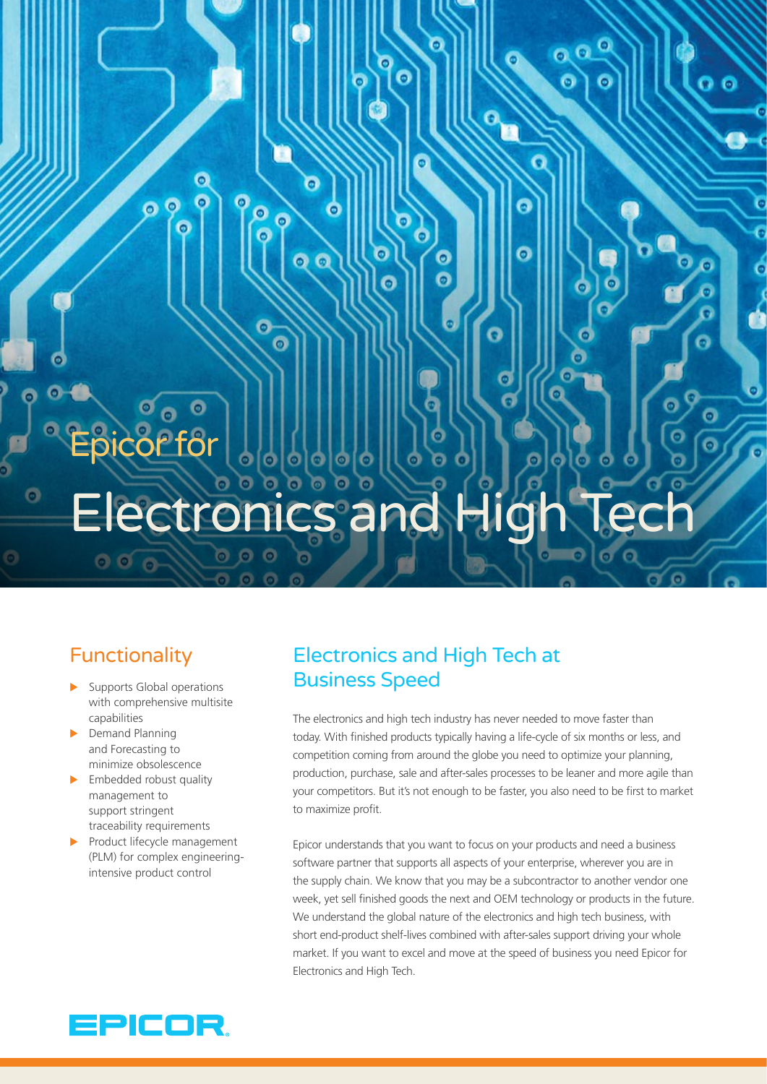# Epicor for  $\bullet$ **Electronics and**

 $\bullet$ 

**.** 

 $\ddot{\circ}$ 

 $\bullet$  $\bullet$ 

 $\circ$ 

# **Functionality**

 $000$ 

 $\bullet$ 

 $\blacktriangleright$  Supports Global operations with comprehensive multisite capabilities

 $\bullet$ 

 $\bullet$  $\bullet$ 

- $\blacktriangleright$  Demand Planning and Forecasting to minimize obsolescence
- $\blacktriangleright$  Embedded robust quality management to support stringent traceability requirements
- $\blacktriangleright$  Product lifecycle management (PLM) for complex engineeringintensive product control

# Electronics and High Tech at Business Speed

 $\bullet$ 

 $\bullet$ 

ō

The electronics and high tech industry has never needed to move faster than today. With finished products typically having a life-cycle of six months or less, and competition coming from around the globe you need to optimize your planning, production, purchase, sale and after-sales processes to be leaner and more agile than your competitors. But it's not enough to be faster, you also need to be first to market to maximize profit.

G Ō

 $\bullet$ 

Θ

ō

Epicor understands that you want to focus on your products and need a business software partner that supports all aspects of your enterprise, wherever you are in the supply chain. We know that you may be a subcontractor to another vendor one week, yet sell finished goods the next and OEM technology or products in the future. We understand the global nature of the electronics and high tech business, with short end-product shelf-lives combined with after-sales support driving your whole market. If you want to excel and move at the speed of business you need Epicor for Electronics and High Tech.

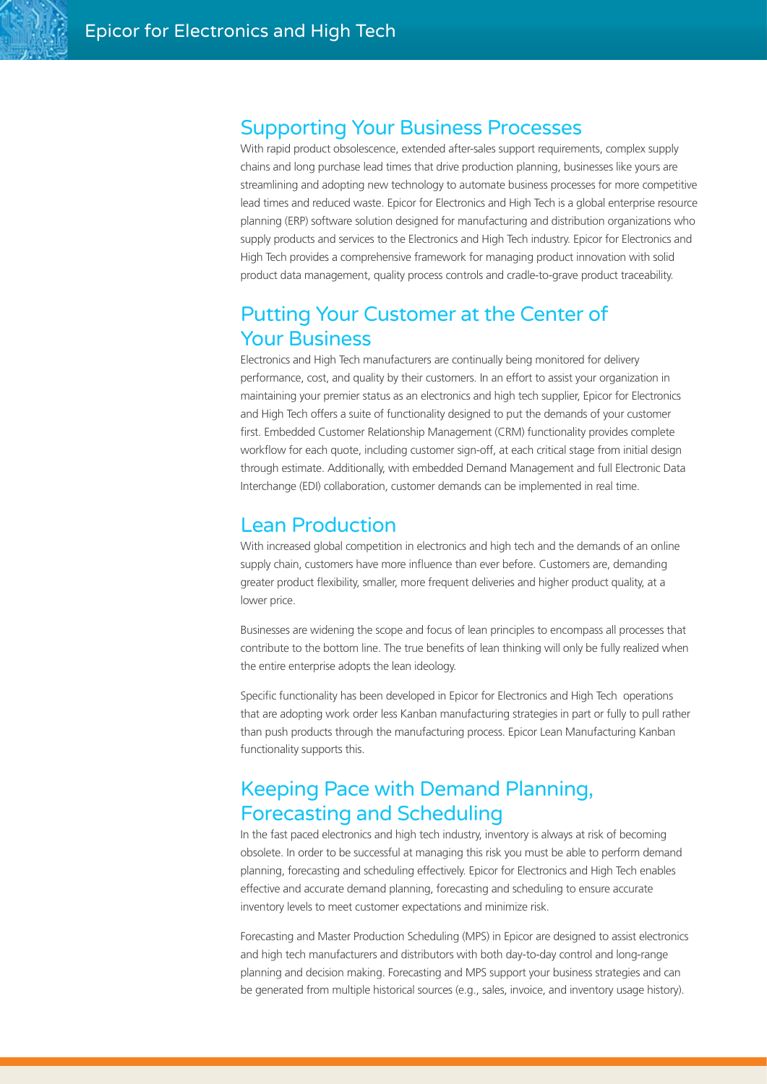#### Supporting Your Business Processes

With rapid product obsolescence, extended after-sales support requirements, complex supply chains and long purchase lead times that drive production planning, businesses like yours are streamlining and adopting new technology to automate business processes for more competitive lead times and reduced waste. Epicor for Electronics and High Tech is a global enterprise resource planning (ERP) software solution designed for manufacturing and distribution organizations who supply products and services to the Electronics and High Tech industry. Epicor for Electronics and High Tech provides a comprehensive framework for managing product innovation with solid product data management, quality process controls and cradle-to-grave product traceability.

### Putting Your Customer at the Center of Your Business

Electronics and High Tech manufacturers are continually being monitored for delivery performance, cost, and quality by their customers. In an effort to assist your organization in maintaining your premier status as an electronics and high tech supplier, Epicor for Electronics and High Tech offers a suite of functionality designed to put the demands of your customer first. Embedded Customer Relationship Management (CRM) functionality provides complete workflow for each quote, including customer sign-off, at each critical stage from initial design through estimate. Additionally, with embedded Demand Management and full Electronic Data Interchange (EDI) collaboration, customer demands can be implemented in real time.

#### Lean Production

With increased global competition in electronics and high tech and the demands of an online supply chain, customers have more influence than ever before. Customers are, demanding greater product flexibility, smaller, more frequent deliveries and higher product quality, at a lower price.

Businesses are widening the scope and focus of lean principles to encompass all processes that contribute to the bottom line. The true benefits of lean thinking will only be fully realized when the entire enterprise adopts the lean ideology.

Specific functionality has been developed in Epicor for Electronics and High Tech operations that are adopting work order less Kanban manufacturing strategies in part or fully to pull rather than push products through the manufacturing process. Epicor Lean Manufacturing Kanban functionality supports this.

# Keeping Pace with Demand Planning, Forecasting and Scheduling

In the fast paced electronics and high tech industry, inventory is always at risk of becoming obsolete. In order to be successful at managing this risk you must be able to perform demand planning, forecasting and scheduling effectively. Epicor for Electronics and High Tech enables effective and accurate demand planning, forecasting and scheduling to ensure accurate inventory levels to meet customer expectations and minimize risk.

Forecasting and Master Production Scheduling (MPS) in Epicor are designed to assist electronics and high tech manufacturers and distributors with both day-to-day control and long-range planning and decision making. Forecasting and MPS support your business strategies and can be generated from multiple historical sources (e.g., sales, invoice, and inventory usage history).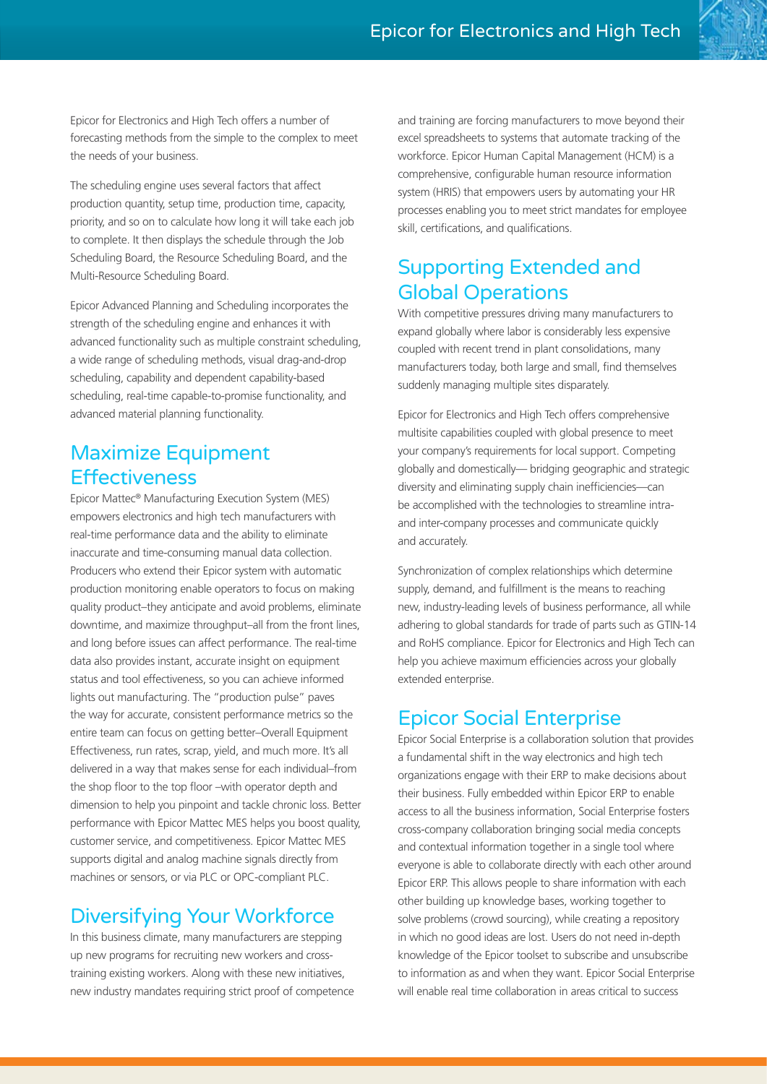Epicor for Electronics and High Tech offers a number of forecasting methods from the simple to the complex to meet the needs of your business.

The scheduling engine uses several factors that affect production quantity, setup time, production time, capacity, priority, and so on to calculate how long it will take each job to complete. It then displays the schedule through the Job Scheduling Board, the Resource Scheduling Board, and the Multi-Resource Scheduling Board.

Epicor Advanced Planning and Scheduling incorporates the strength of the scheduling engine and enhances it with advanced functionality such as multiple constraint scheduling, a wide range of scheduling methods, visual drag-and-drop scheduling, capability and dependent capability-based scheduling, real-time capable-to-promise functionality, and advanced material planning functionality.

#### Maximize Equipment **Effectiveness**

Epicor Mattec® Manufacturing Execution System (MES) empowers electronics and high tech manufacturers with real-time performance data and the ability to eliminate inaccurate and time-consuming manual data collection. Producers who extend their Epicor system with automatic production monitoring enable operators to focus on making quality product–they anticipate and avoid problems, eliminate downtime, and maximize throughput–all from the front lines, and long before issues can affect performance. The real-time data also provides instant, accurate insight on equipment status and tool effectiveness, so you can achieve informed lights out manufacturing. The "production pulse" paves the way for accurate, consistent performance metrics so the entire team can focus on getting better–Overall Equipment Effectiveness, run rates, scrap, yield, and much more. It's all delivered in a way that makes sense for each individual–from the shop floor to the top floor –with operator depth and dimension to help you pinpoint and tackle chronic loss. Better performance with Epicor Mattec MES helps you boost quality, customer service, and competitiveness. Epicor Mattec MES supports digital and analog machine signals directly from machines or sensors, or via PLC or OPC-compliant PLC.

# Diversifying Your Workforce

In this business climate, many manufacturers are stepping up new programs for recruiting new workers and crosstraining existing workers. Along with these new initiatives, new industry mandates requiring strict proof of competence

and training are forcing manufacturers to move beyond their excel spreadsheets to systems that automate tracking of the workforce. Epicor Human Capital Management (HCM) is a comprehensive, configurable human resource information system (HRIS) that empowers users by automating your HR processes enabling you to meet strict mandates for employee skill, certifications, and qualifications.

## Supporting Extended and Global Operations

With competitive pressures driving many manufacturers to expand globally where labor is considerably less expensive coupled with recent trend in plant consolidations, many manufacturers today, both large and small, find themselves suddenly managing multiple sites disparately.

Epicor for Electronics and High Tech offers comprehensive multisite capabilities coupled with global presence to meet your company's requirements for local support. Competing globally and domestically— bridging geographic and strategic diversity and eliminating supply chain inefficiencies—can be accomplished with the technologies to streamline intraand inter-company processes and communicate quickly and accurately.

Synchronization of complex relationships which determine supply, demand, and fulfillment is the means to reaching new, industry-leading levels of business performance, all while adhering to global standards for trade of parts such as GTIN-14 and RoHS compliance. Epicor for Electronics and High Tech can help you achieve maximum efficiencies across your globally extended enterprise.

## Epicor Social Enterprise

Epicor Social Enterprise is a collaboration solution that provides a fundamental shift in the way electronics and high tech organizations engage with their ERP to make decisions about their business. Fully embedded within Epicor ERP to enable access to all the business information, Social Enterprise fosters cross-company collaboration bringing social media concepts and contextual information together in a single tool where everyone is able to collaborate directly with each other around Epicor ERP. This allows people to share information with each other building up knowledge bases, working together to solve problems (crowd sourcing), while creating a repository in which no good ideas are lost. Users do not need in-depth knowledge of the Epicor toolset to subscribe and unsubscribe to information as and when they want. Epicor Social Enterprise will enable real time collaboration in areas critical to success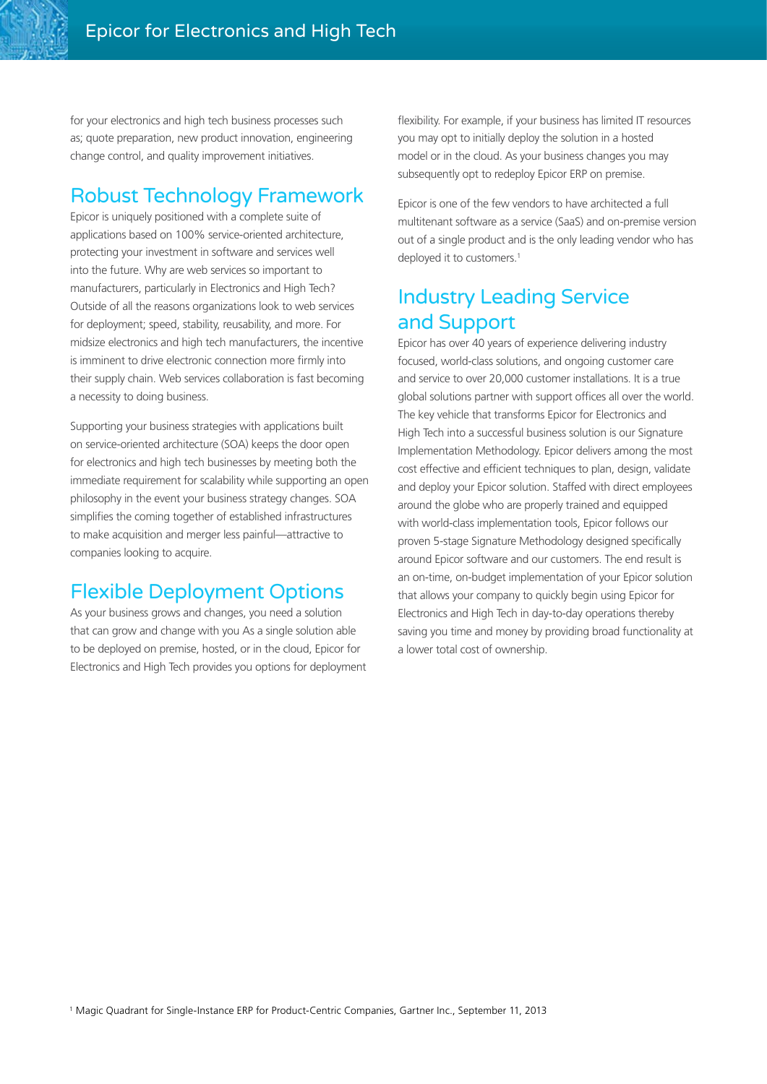for your electronics and high tech business processes such as; quote preparation, new product innovation, engineering change control, and quality improvement initiatives.

## Robust Technology Framework

Epicor is uniquely positioned with a complete suite of applications based on 100% service-oriented architecture, protecting your investment in software and services well into the future. Why are web services so important to manufacturers, particularly in Electronics and High Tech? Outside of all the reasons organizations look to web services for deployment; speed, stability, reusability, and more. For midsize electronics and high tech manufacturers, the incentive is imminent to drive electronic connection more firmly into their supply chain. Web services collaboration is fast becoming a necessity to doing business.

Supporting your business strategies with applications built on service-oriented architecture (SOA) keeps the door open for electronics and high tech businesses by meeting both the immediate requirement for scalability while supporting an open philosophy in the event your business strategy changes. SOA simplifies the coming together of established infrastructures to make acquisition and merger less painful—attractive to companies looking to acquire.

#### Flexible Deployment Options

As your business grows and changes, you need a solution that can grow and change with you As a single solution able to be deployed on premise, hosted, or in the cloud, Epicor for Electronics and High Tech provides you options for deployment

flexibility. For example, if your business has limited IT resources you may opt to initially deploy the solution in a hosted model or in the cloud. As your business changes you may subsequently opt to redeploy Epicor ERP on premise.

Epicor is one of the few vendors to have architected a full multitenant software as a service (SaaS) and on-premise version out of a single product and is the only leading vendor who has deployed it to customers.<sup>1</sup>

## Industry Leading Service and Support

Epicor has over 40 years of experience delivering industry focused, world-class solutions, and ongoing customer care and service to over 20,000 customer installations. It is a true global solutions partner with support offices all over the world. The key vehicle that transforms Epicor for Electronics and High Tech into a successful business solution is our Signature Implementation Methodology. Epicor delivers among the most cost effective and efficient techniques to plan, design, validate and deploy your Epicor solution. Staffed with direct employees around the globe who are properly trained and equipped with world-class implementation tools, Epicor follows our proven 5-stage Signature Methodology designed specifically around Epicor software and our customers. The end result is an on-time, on-budget implementation of your Epicor solution that allows your company to quickly begin using Epicor for Electronics and High Tech in day-to-day operations thereby saving you time and money by providing broad functionality at a lower total cost of ownership.